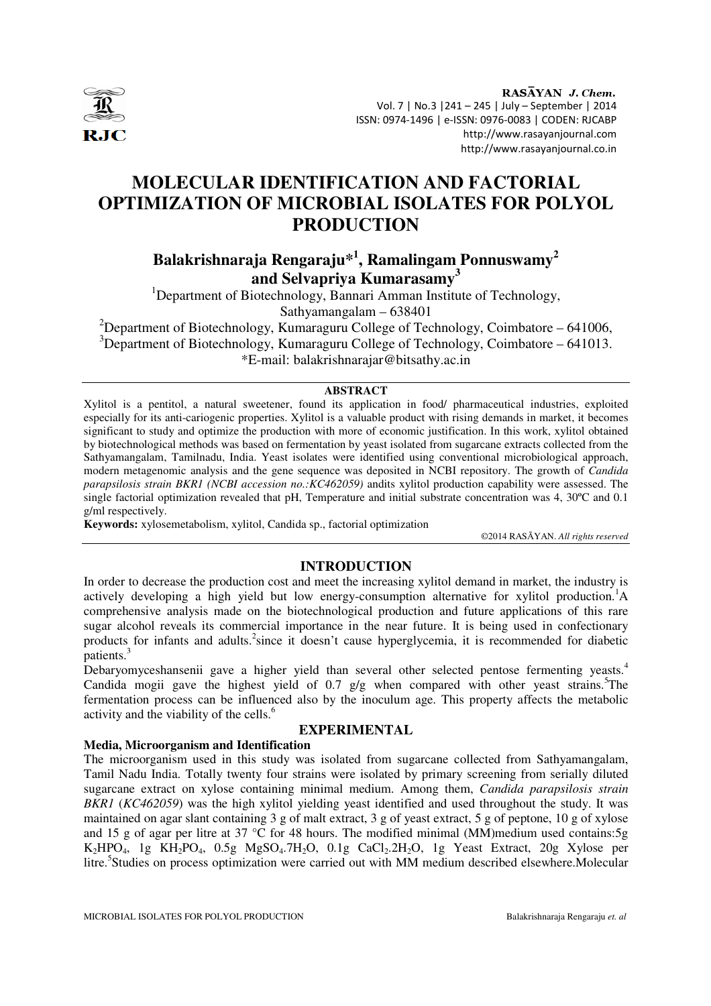

RASAYAN J. Chem. Vol. 7 | No.3 |241 – 245 | July – September | 2014 ISSN: 0974-1496 | e-ISSN: 0976-0083 | CODEN: RJCABP http://www.rasayanjournal.com http://www.rasayanjournal.co.in

# **MOLECULAR IDENTIFICATION AND FACTORIAL OPTIMIZATION OF MICROBIAL ISOLATES FOR POLYOL PRODUCTION**

## **Balakrishnaraja Rengaraju\*<sup>1</sup> , Ramalingam Ponnuswamy<sup>2</sup> and Selvapriya Kumarasamy<sup>3</sup>**

<sup>1</sup>Department of Biotechnology, Bannari Amman Institute of Technology, Sathyamangalam – 638401

<sup>2</sup>Department of Biotechnology, Kumaraguru College of Technology, Coimbatore – 641006,  $3$ Department of Biotechnology, Kumaraguru College of Technology, Coimbatore – 641013. \*E-mail: balakrishnarajar@bitsathy.ac.in

### **ABSTRACT**

Xylitol is a pentitol, a natural sweetener, found its application in food/ pharmaceutical industries, exploited especially for its anti-cariogenic properties. Xylitol is a valuable product with rising demands in market, it becomes significant to study and optimize the production with more of economic justification. In this work, xylitol obtained by biotechnological methods was based on fermentation by yeast isolated from sugarcane extracts collected from the Sathyamangalam, Tamilnadu, India. Yeast isolates were identified using conventional microbiological approach, modern metagenomic analysis and the gene sequence was deposited in NCBI repository. The growth of *Candida parapsilosis strain BKR1 (NCBI accession no.:KC462059)* andits xylitol production capability were assessed. The single factorial optimization revealed that pH, Temperature and initial substrate concentration was 4, 30ºC and 0.1 g/ml respectively.

**Keywords:** xylosemetabolism, xylitol, Candida sp., factorial optimization

©2014 RASĀYAN. *All rights reserved*

### **INTRODUCTION**

In order to decrease the production cost and meet the increasing xylitol demand in market, the industry is actively developing a high yield but low energy-consumption alternative for xylitol production.<sup>1</sup>A comprehensive analysis made on the biotechnological production and future applications of this rare sugar alcohol reveals its commercial importance in the near future. It is being used in confectionary products for infants and adults.<sup>2</sup>since it doesn't cause hyperglycemia, it is recommended for diabetic patients.<sup>3</sup>

Debaryomyceshansenii gave a higher yield than several other selected pentose fermenting yeasts.<sup>4</sup> Candida mogii gave the highest yield of  $0.7$  g/g when compared with other yeast strains.<sup>5</sup>The fermentation process can be influenced also by the inoculum age. This property affects the metabolic activity and the viability of the cells.<sup>6</sup>

### **EXPERIMENTAL**

### **Media, Microorganism and Identification**

The microorganism used in this study was isolated from sugarcane collected from Sathyamangalam, Tamil Nadu India. Totally twenty four strains were isolated by primary screening from serially diluted sugarcane extract on xylose containing minimal medium. Among them, *Candida parapsilosis strain BKR1* (*KC462059*) was the high xylitol yielding yeast identified and used throughout the study. It was maintained on agar slant containing 3 g of malt extract, 3 g of yeast extract, 5 g of peptone, 10 g of xylose and 15 g of agar per litre at 37  $\degree$ C for 48 hours. The modified minimal (MM)medium used contains:5g  $K_2HPO_4$ , 1g  $KH_2PO_4$ , 0.5g  $MgSO_4.7H_2O$ , 0.1g  $CaCl_2.2H_2O$ , 1g Yeast Extract, 20g Xylose per litre.<sup>5</sup> Studies on process optimization were carried out with MM medium described elsewhere.Molecular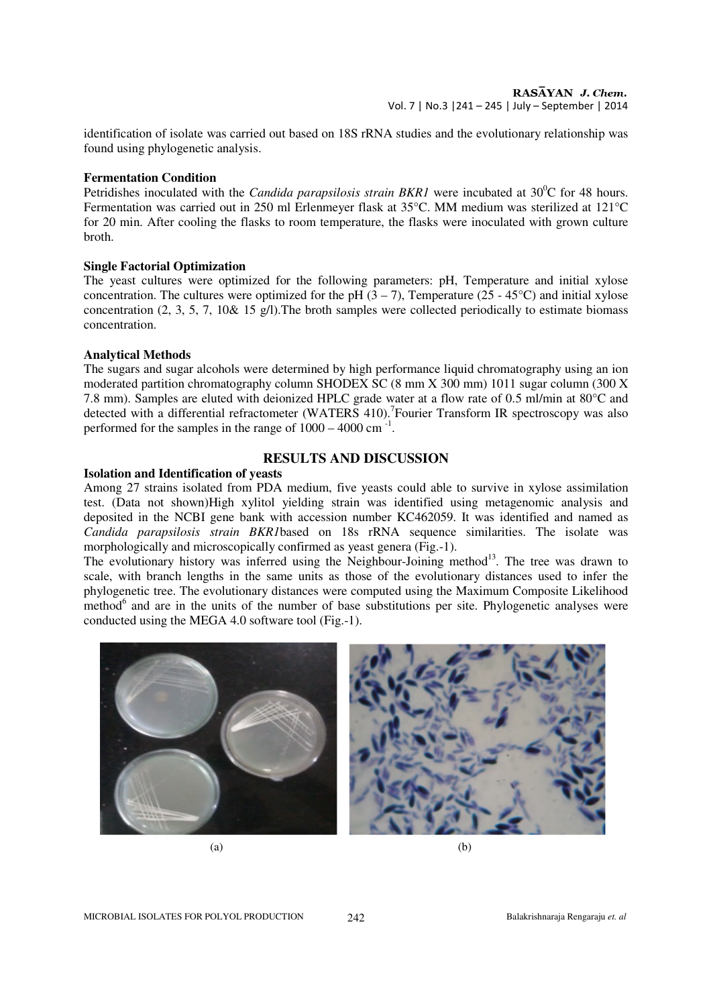identification of isolate was carried out based on 18S rRNA studies and the evolutionary relationship was found using phylogenetic analysis.

### **Fermentation Condition**

Petridishes inoculated with the *Candida parapsilosis strain BKR1* were incubated at 30<sup>°</sup>C for 48 hours. Fermentation was carried out in 250 ml Erlenmeyer flask at 35°C. MM medium was sterilized at 121°C for 20 min. After cooling the flasks to room temperature, the flasks were inoculated with grown culture broth.

### **Single Factorial Optimization**

The yeast cultures were optimized for the following parameters: pH, Temperature and initial xylose concentration. The cultures were optimized for the pH  $(3 – 7)$ , Temperature (25 - 45°C) and initial xylose concentration (2, 3, 5, 7, 10& 15 g/l).The broth samples were collected periodically to estimate biomass concentration.

#### **Analytical Methods**

The sugars and sugar alcohols were determined by high performance liquid chromatography using an ion moderated partition chromatography column SHODEX SC (8 mm X 300 mm) 1011 sugar column (300 X 7.8 mm). Samples are eluted with deionized HPLC grade water at a flow rate of 0.5 ml/min at 80°C and detected with a differential refractometer (WATERS 410). Fourier Transform IR spectroscopy was also performed for the samples in the range of  $1000 - 4000$  cm<sup>-1</sup>.

### **RESULTS AND DISCUSSION**

#### **Isolation and Identification of yeasts**

Among 27 strains isolated from PDA medium, five yeasts could able to survive in xylose assimilation test. (Data not shown)High xylitol yielding strain was identified using metagenomic analysis and deposited in the NCBI gene bank with accession number KC462059. It was identified and named as *Candida parapsilosis strain BKR1*based on 18s rRNA sequence similarities. The isolate was morphologically and microscopically confirmed as yeast genera (Fig.-1).

The evolutionary history was inferred using the Neighbour-Joining method<sup>13</sup>. The tree was drawn to scale, with branch lengths in the same units as those of the evolutionary distances used to infer the phylogenetic tree. The evolutionary distances were computed using the Maximum Composite Likelihood method<sup>6</sup> and are in the units of the number of base substitutions per site. Phylogenetic analyses were conducted using the MEGA 4.0 software tool (Fig.-1).



 $(a)$  (b)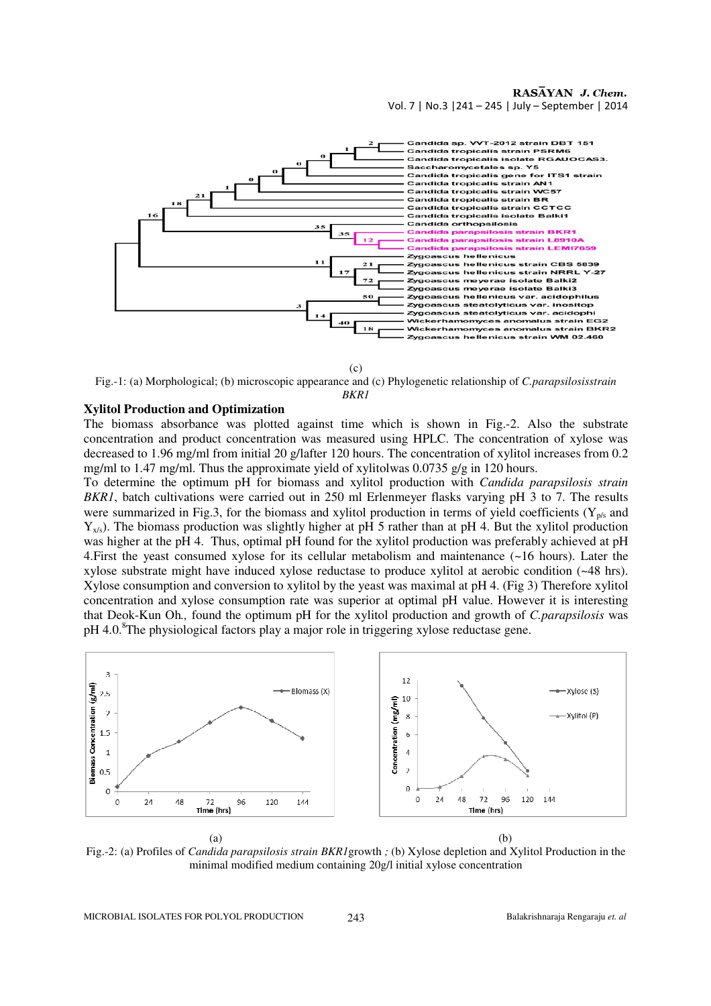

(c)

Fig.-1: (a) Morphological; (b) microscopic appearance and (c) Phylogenetic relationship of *C.parapsilosisstrain BKR1*

### **Xylitol Production and Optimization**

The biomass absorbance was plotted against time which is shown in Fig.-2. Also the substrate concentration and product concentration was measured using HPLC. The concentration of xylose was decreased to 1.96 mg/ml from initial 20 g/lafter 120 hours. The concentration of xylitol increases from 0.2 mg/ml to 1.47 mg/ml. Thus the approximate yield of xylitolwas 0.0735 g/g in 120 hours.

To determine the optimum pH for biomass and xylitol production with *Candida parapsilosis strain BKR1*, batch cultivations were carried out in 250 ml Erlenmeyer flasks varying pH 3 to 7. The results were summarized in Fig.3, for the biomass and xylitol production in terms of yield coefficients ( $Y_{p/s}$  and  $Y_{x/s}$ ). The biomass production was slightly higher at pH 5 rather than at pH 4. But the xylitol production was higher at the pH 4. Thus, optimal pH found for the xylitol production was preferably achieved at pH 4.First the yeast consumed xylose for its cellular metabolism and maintenance (~16 hours). Later the xylose substrate might have induced xylose reductase to produce xylitol at aerobic condition (~48 hrs). Xylose consumption and conversion to xylitol by the yeast was maximal at pH 4. (Fig 3) Therefore xylitol concentration and xylose consumption rate was superior at optimal pH value. However it is interesting that Deok-Kun Oh*.,* found the optimum pH for the xylitol production and growth of *C.parapsilosis* was pH 4.0.<sup>8</sup>The physiological factors play a major role in triggering xylose reductase gene.



Fig.-2: (a) Profiles of *Candida parapsilosis strain BKR1*growth *;* (b) Xylose depletion and Xylitol Production in the minimal modified medium containing 20g/l initial xylose concentration

MICROBIAL ISOLATES FOR POLYOL PRODUCTION 243 Balakrishnaraja Rengaraju *et. al*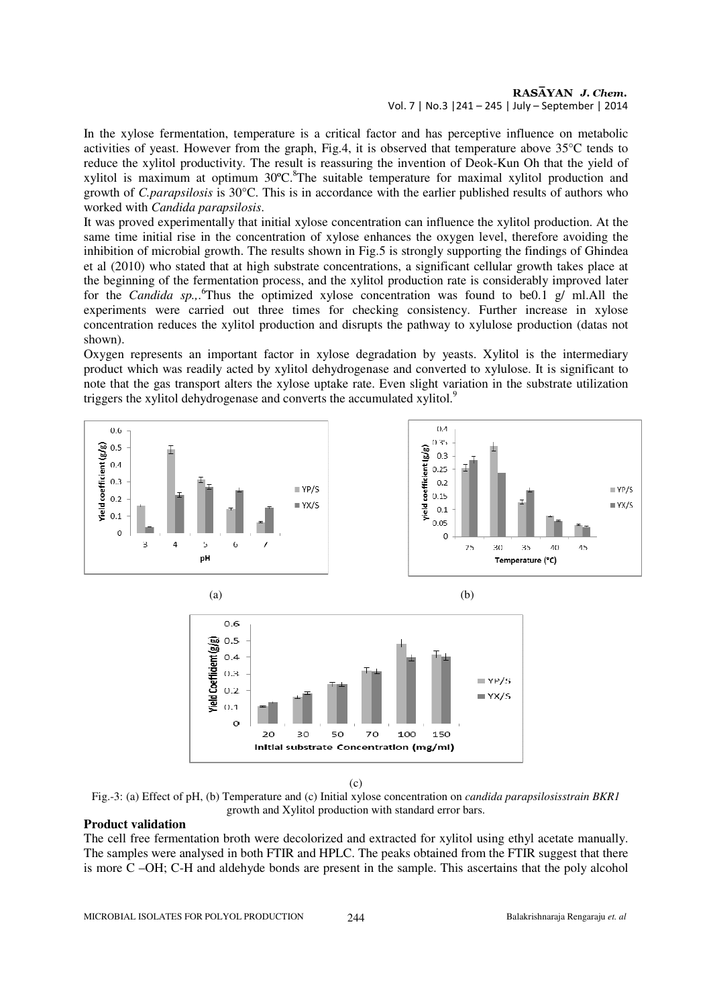### RASAYAN J. Chem. Vol. 7 | No.3 |241 – 245 | July – September | 2014

In the xylose fermentation, temperature is a critical factor and has perceptive influence on metabolic activities of yeast. However from the graph, Fig.4, it is observed that temperature above 35°C tends to reduce the xylitol productivity. The result is reassuring the invention of Deok-Kun Oh that the yield of xylitol is maximum at optimum  $30^{\circ}$ C.<sup>8</sup>The suitable temperature for maximal xylitol production and growth of *C.parapsilosis* is 30°C. This is in accordance with the earlier published results of authors who worked with *Candida parapsilosis*.

It was proved experimentally that initial xylose concentration can influence the xylitol production. At the same time initial rise in the concentration of xylose enhances the oxygen level, therefore avoiding the inhibition of microbial growth. The results shown in Fig.5 is strongly supporting the findings of Ghindea et al (2010) who stated that at high substrate concentrations, a significant cellular growth takes place at the beginning of the fermentation process, and the xylitol production rate is considerably improved later for the *Candida sp.,*. <sup>6</sup>Thus the optimized xylose concentration was found to be0.1 g/ ml.All the experiments were carried out three times for checking consistency. Further increase in xylose concentration reduces the xylitol production and disrupts the pathway to xylulose production (datas not shown).

Oxygen represents an important factor in xylose degradation by yeasts. Xylitol is the intermediary product which was readily acted by xylitol dehydrogenase and converted to xylulose. It is significant to note that the gas transport alters the xylose uptake rate. Even slight variation in the substrate utilization triggers the xylitol dehydrogenase and converts the accumulated xylitol.<sup>9</sup>





(c)

Fig.-3: (a) Effect of pH, (b) Temperature and (c) Initial xylose concentration on *candida parapsilosisstrain BKR1* growth and Xylitol production with standard error bars.

#### **Product validation**

The cell free fermentation broth were decolorized and extracted for xylitol using ethyl acetate manually. The samples were analysed in both FTIR and HPLC. The peaks obtained from the FTIR suggest that there is more C –OH; C-H and aldehyde bonds are present in the sample. This ascertains that the poly alcohol